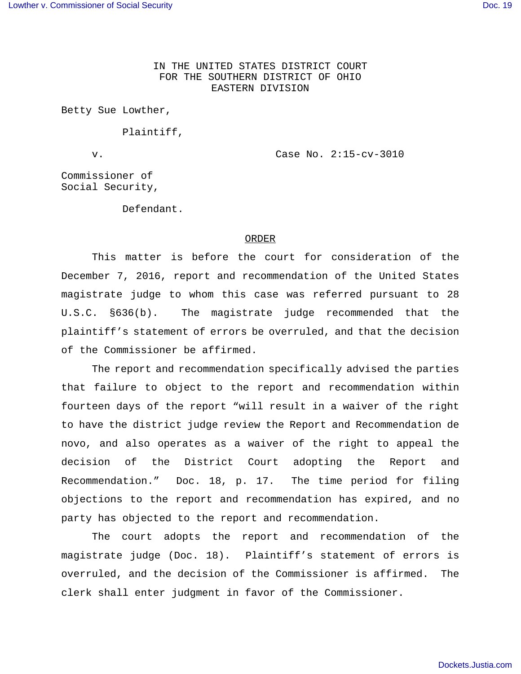IN THE UNITED STATES DISTRICT COURT FOR THE SOUTHERN DISTRICT OF OHIO EASTERN DIVISION

Betty Sue Lowther,

Plaintiff,

v. Case No. 2:15-cv-3010

Commissioner of Social Security,

Defendant.

## ORDER

This matter is before the court for consideration of the December 7, 2016, report and recommendation of the United States magistrate judge to whom this case was referred pursuant to 28 U.S.C. §636(b). The magistrate judge recommended that the plaintiff's statement of errors be overruled, and that the decision of the Commissioner be affirmed.

The report and recommendation specifically advised the parties that failure to object to the report and recommendation within fourteen days of the report "will result in a waiver of the right to have the district judge review the Report and Recommendation de novo, and also operates as a waiver of the right to appeal the decision of the District Court adopting the Report and Recommendation." Doc. 18, p. 17. The time period for filing objections to the report and recommendation has expired, and no party has objected to the report and recommendation.

The court adopts the report and recommendation of the magistrate judge (Doc. 18). Plaintiff's statement of errors is overruled, and the decision of the Commissioner is affirmed. The clerk shall enter judgment in favor of the Commissioner.